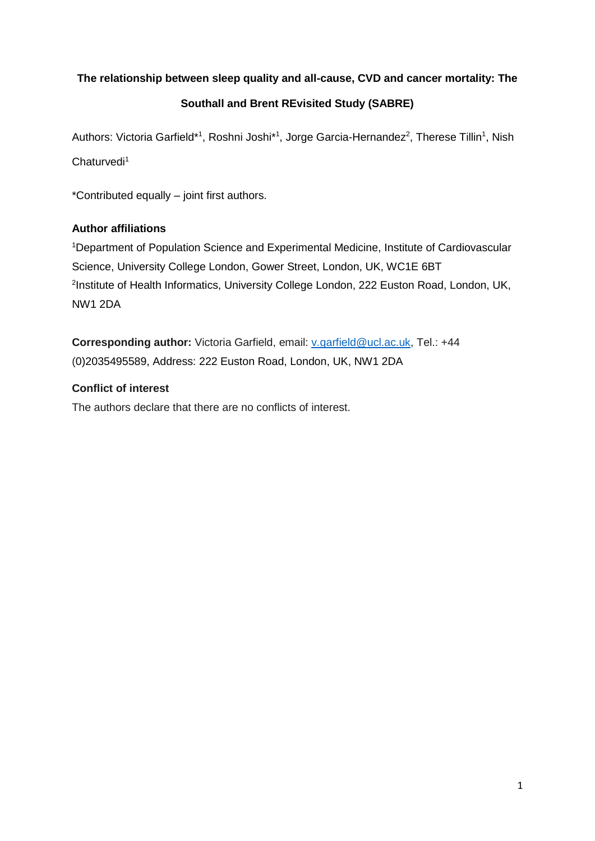# **The relationship between sleep quality and all-cause, CVD and cancer mortality: The**

# **Southall and Brent REvisited Study (SABRE)**

Authors: Victoria Garfield\*<sup>1</sup>, Roshni Joshi\*<sup>1</sup>, Jorge Garcia-Hernandez<sup>2</sup>, Therese Tillin<sup>1</sup>, Nish

Chaturvedi<sup>1</sup>

\*Contributed equally – joint first authors.

# **Author affiliations**

<sup>1</sup>Department of Population Science and Experimental Medicine, Institute of Cardiovascular Science, University College London, Gower Street, London, UK, WC1E 6BT <sup>2</sup>Institute of Health Informatics, University College London, 222 Euston Road, London, UK, NW1 2DA

**Corresponding author:** Victoria Garfield, email: [v.garfield@ucl.ac.uk,](mailto:v.garfield@ucl.ac.uk) Tel.: +44 (0)2035495589, Address: 222 Euston Road, London, UK, NW1 2DA

# **Conflict of interest**

The authors declare that there are no conflicts of interest.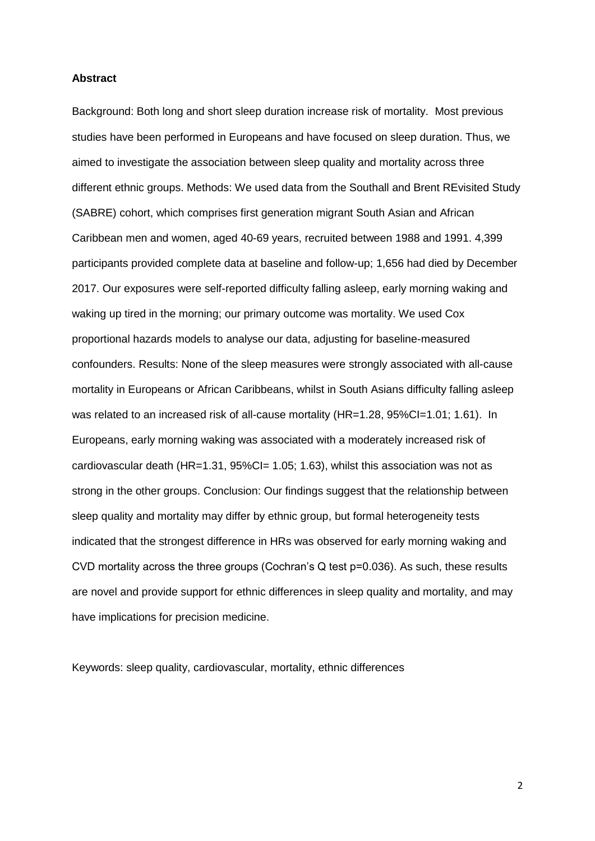### **Abstract**

Background: Both long and short sleep duration increase risk of mortality. Most previous studies have been performed in Europeans and have focused on sleep duration. Thus, we aimed to investigate the association between sleep quality and mortality across three different ethnic groups. Methods: We used data from the Southall and Brent REvisited Study (SABRE) cohort, which comprises first generation migrant South Asian and African Caribbean men and women, aged 40-69 years, recruited between 1988 and 1991. 4,399 participants provided complete data at baseline and follow-up; 1,656 had died by December 2017. Our exposures were self-reported difficulty falling asleep, early morning waking and waking up tired in the morning; our primary outcome was mortality. We used Cox proportional hazards models to analyse our data, adjusting for baseline-measured confounders. Results: None of the sleep measures were strongly associated with all-cause mortality in Europeans or African Caribbeans, whilst in South Asians difficulty falling asleep was related to an increased risk of all-cause mortality (HR=1.28, 95%CI=1.01; 1.61). In Europeans, early morning waking was associated with a moderately increased risk of cardiovascular death (HR=1.31, 95%Cl= 1.05; 1.63), whilst this association was not as strong in the other groups. Conclusion: Our findings suggest that the relationship between sleep quality and mortality may differ by ethnic group, but formal heterogeneity tests indicated that the strongest difference in HRs was observed for early morning waking and CVD mortality across the three groups (Cochran's Q test p=0.036). As such, these results are novel and provide support for ethnic differences in sleep quality and mortality, and may have implications for precision medicine.

Keywords: sleep quality, cardiovascular, mortality, ethnic differences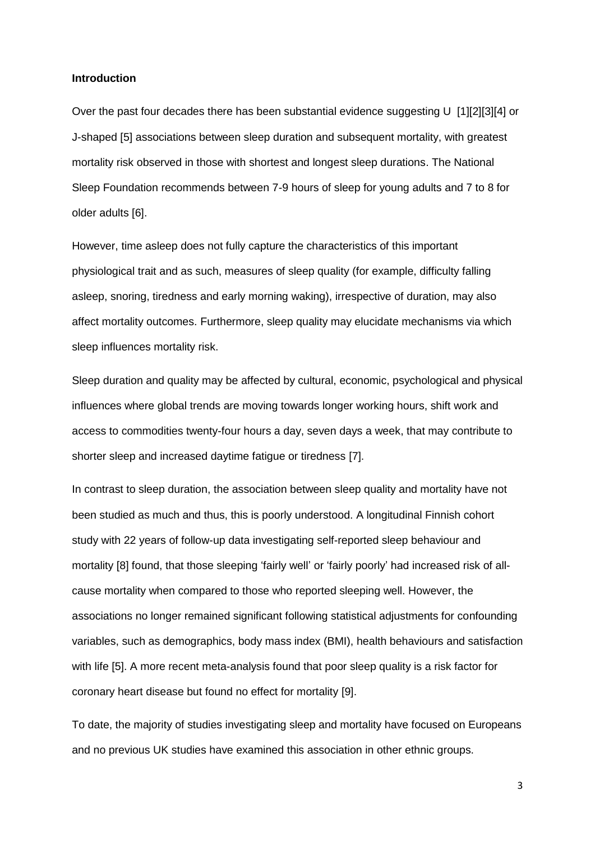## **Introduction**

Over the past four decades there has been substantial evidence suggesting U [1][2][3][4] or J-shaped [5] associations between sleep duration and subsequent mortality, with greatest mortality risk observed in those with shortest and longest sleep durations. The National Sleep Foundation recommends between 7-9 hours of sleep for young adults and 7 to 8 for older adults [6].

However, time asleep does not fully capture the characteristics of this important physiological trait and as such, measures of sleep quality (for example, difficulty falling asleep, snoring, tiredness and early morning waking), irrespective of duration, may also affect mortality outcomes. Furthermore, sleep quality may elucidate mechanisms via which sleep influences mortality risk.

Sleep duration and quality may be affected by cultural, economic, psychological and physical influences where global trends are moving towards longer working hours, shift work and access to commodities twenty-four hours a day, seven days a week, that may contribute to shorter sleep and increased daytime fatigue or tiredness [7].

In contrast to sleep duration, the association between sleep quality and mortality have not been studied as much and thus, this is poorly understood. A longitudinal Finnish cohort study with 22 years of follow-up data investigating self-reported sleep behaviour and mortality [8] found, that those sleeping 'fairly well' or 'fairly poorly' had increased risk of allcause mortality when compared to those who reported sleeping well. However, the associations no longer remained significant following statistical adjustments for confounding variables, such as demographics, body mass index (BMI), health behaviours and satisfaction with life [5]. A more recent meta-analysis found that poor sleep quality is a risk factor for coronary heart disease but found no effect for mortality [9].

To date, the majority of studies investigating sleep and mortality have focused on Europeans and no previous UK studies have examined this association in other ethnic groups.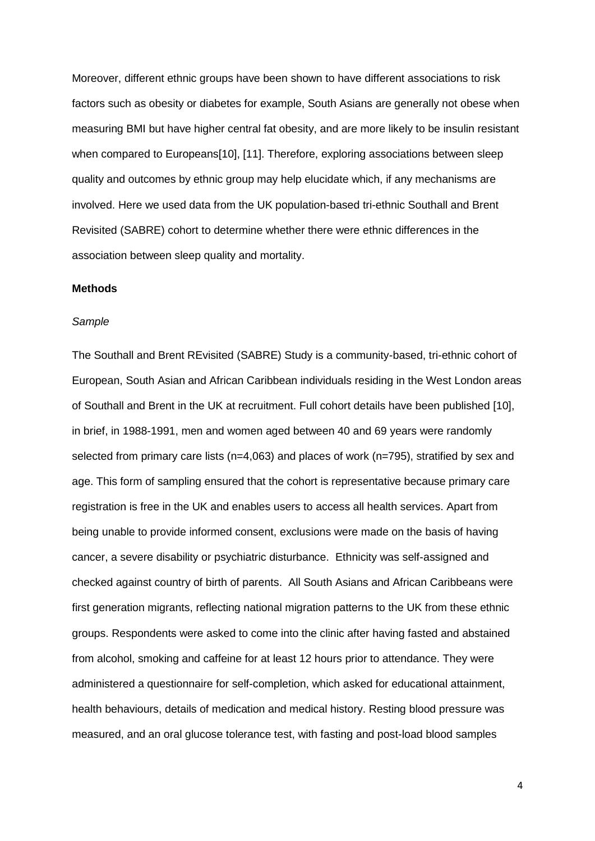Moreover, different ethnic groups have been shown to have different associations to risk factors such as obesity or diabetes for example, South Asians are generally not obese when measuring BMI but have higher central fat obesity, and are more likely to be insulin resistant when compared to Europeans[10], [11]. Therefore, exploring associations between sleep quality and outcomes by ethnic group may help elucidate which, if any mechanisms are involved. Here we used data from the UK population-based tri-ethnic Southall and Brent Revisited (SABRE) cohort to determine whether there were ethnic differences in the association between sleep quality and mortality.

## **Methods**

#### *Sample*

The Southall and Brent REvisited (SABRE) Study is a community-based, tri-ethnic cohort of European, South Asian and African Caribbean individuals residing in the West London areas of Southall and Brent in the UK at recruitment. Full cohort details have been published [10], in brief, in 1988-1991, men and women aged between 40 and 69 years were randomly selected from primary care lists (n=4,063) and places of work (n=795), stratified by sex and age. This form of sampling ensured that the cohort is representative because primary care registration is free in the UK and enables users to access all health services. Apart from being unable to provide informed consent, exclusions were made on the basis of having cancer, a severe disability or psychiatric disturbance. Ethnicity was self-assigned and checked against country of birth of parents. All South Asians and African Caribbeans were first generation migrants, reflecting national migration patterns to the UK from these ethnic groups. Respondents were asked to come into the clinic after having fasted and abstained from alcohol, smoking and caffeine for at least 12 hours prior to attendance. They were administered a questionnaire for self-completion, which asked for educational attainment, health behaviours, details of medication and medical history. Resting blood pressure was measured, and an oral glucose tolerance test, with fasting and post-load blood samples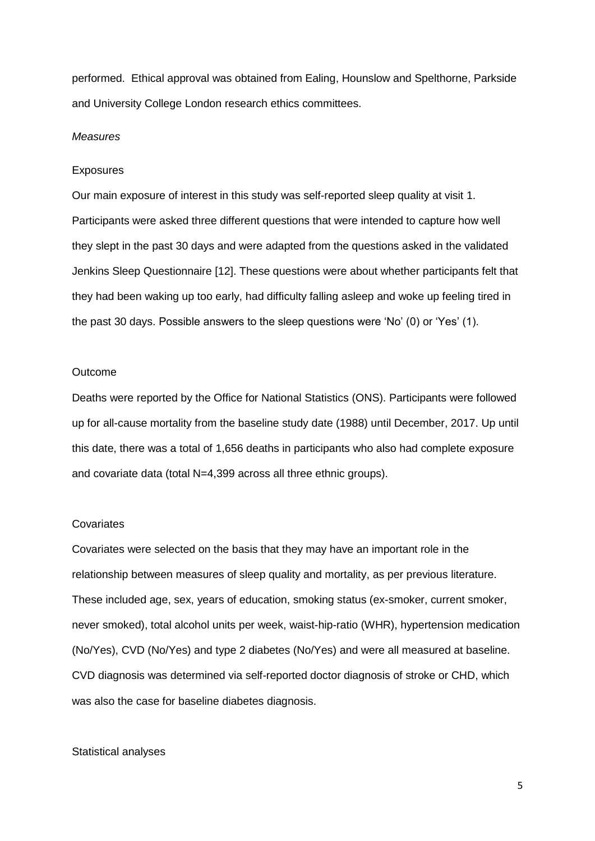performed. Ethical approval was obtained from Ealing, Hounslow and Spelthorne, Parkside and University College London research ethics committees.

#### *Measures*

#### **Exposures**

Our main exposure of interest in this study was self-reported sleep quality at visit 1. Participants were asked three different questions that were intended to capture how well they slept in the past 30 days and were adapted from the questions asked in the validated Jenkins Sleep Questionnaire [12]. These questions were about whether participants felt that they had been waking up too early, had difficulty falling asleep and woke up feeling tired in the past 30 days. Possible answers to the sleep questions were 'No' (0) or 'Yes' (1).

#### **Outcome**

Deaths were reported by the Office for National Statistics (ONS). Participants were followed up for all-cause mortality from the baseline study date (1988) until December, 2017. Up until this date, there was a total of 1,656 deaths in participants who also had complete exposure and covariate data (total N=4,399 across all three ethnic groups).

### **Covariates**

Covariates were selected on the basis that they may have an important role in the relationship between measures of sleep quality and mortality, as per previous literature. These included age, sex, years of education, smoking status (ex-smoker, current smoker, never smoked), total alcohol units per week, waist-hip-ratio (WHR), hypertension medication (No/Yes), CVD (No/Yes) and type 2 diabetes (No/Yes) and were all measured at baseline. CVD diagnosis was determined via self-reported doctor diagnosis of stroke or CHD, which was also the case for baseline diabetes diagnosis.

#### Statistical analyses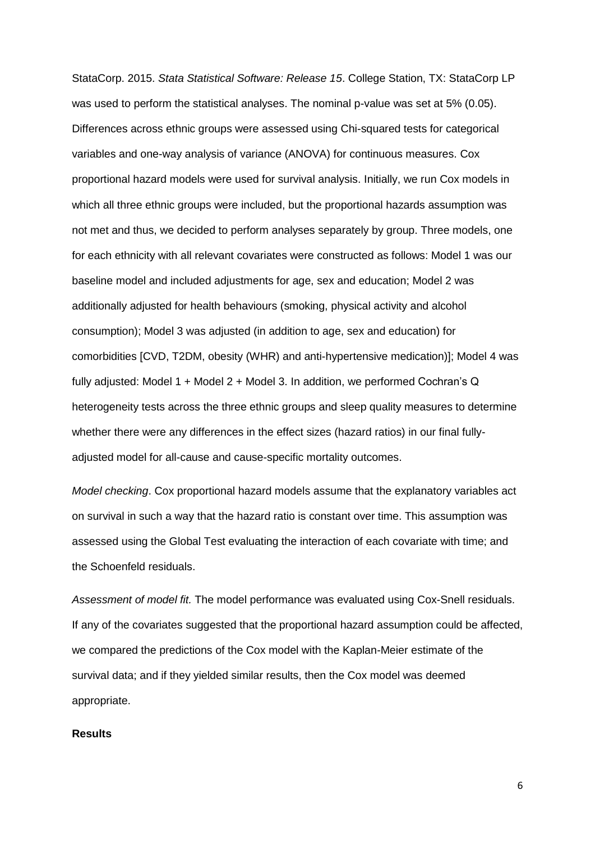StataCorp. 2015. *Stata Statistical Software: Release 15*. College Station, TX: StataCorp LP was used to perform the statistical analyses. The nominal p-value was set at 5% (0.05). Differences across ethnic groups were assessed using Chi-squared tests for categorical variables and one-way analysis of variance (ANOVA) for continuous measures. Cox proportional hazard models were used for survival analysis. Initially, we run Cox models in which all three ethnic groups were included, but the proportional hazards assumption was not met and thus, we decided to perform analyses separately by group. Three models, one for each ethnicity with all relevant covariates were constructed as follows: Model 1 was our baseline model and included adjustments for age, sex and education; Model 2 was additionally adjusted for health behaviours (smoking, physical activity and alcohol consumption); Model 3 was adjusted (in addition to age, sex and education) for comorbidities [CVD, T2DM, obesity (WHR) and anti-hypertensive medication)]; Model 4 was fully adjusted: Model 1 + Model 2 + Model 3. In addition, we performed Cochran's Q heterogeneity tests across the three ethnic groups and sleep quality measures to determine whether there were any differences in the effect sizes (hazard ratios) in our final fullyadjusted model for all-cause and cause-specific mortality outcomes.

*Model checking*. Cox proportional hazard models assume that the explanatory variables act on survival in such a way that the hazard ratio is constant over time. This assumption was assessed using the Global Test evaluating the interaction of each covariate with time; and the Schoenfeld residuals.

*Assessment of model fit.* The model performance was evaluated using Cox-Snell residuals. If any of the covariates suggested that the proportional hazard assumption could be affected, we compared the predictions of the Cox model with the Kaplan-Meier estimate of the survival data; and if they yielded similar results, then the Cox model was deemed appropriate.

## **Results**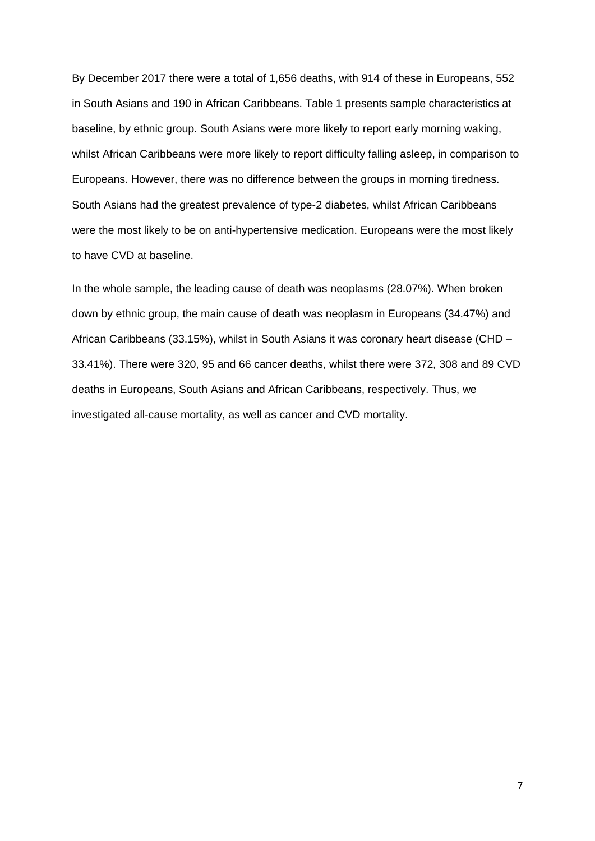By December 2017 there were a total of 1,656 deaths, with 914 of these in Europeans, 552 in South Asians and 190 in African Caribbeans. Table 1 presents sample characteristics at baseline, by ethnic group. South Asians were more likely to report early morning waking, whilst African Caribbeans were more likely to report difficulty falling asleep, in comparison to Europeans. However, there was no difference between the groups in morning tiredness. South Asians had the greatest prevalence of type-2 diabetes, whilst African Caribbeans were the most likely to be on anti-hypertensive medication. Europeans were the most likely to have CVD at baseline.

In the whole sample, the leading cause of death was neoplasms (28.07%). When broken down by ethnic group, the main cause of death was neoplasm in Europeans (34.47%) and African Caribbeans (33.15%), whilst in South Asians it was coronary heart disease (CHD – 33.41%). There were 320, 95 and 66 cancer deaths, whilst there were 372, 308 and 89 CVD deaths in Europeans, South Asians and African Caribbeans, respectively. Thus, we investigated all-cause mortality, as well as cancer and CVD mortality.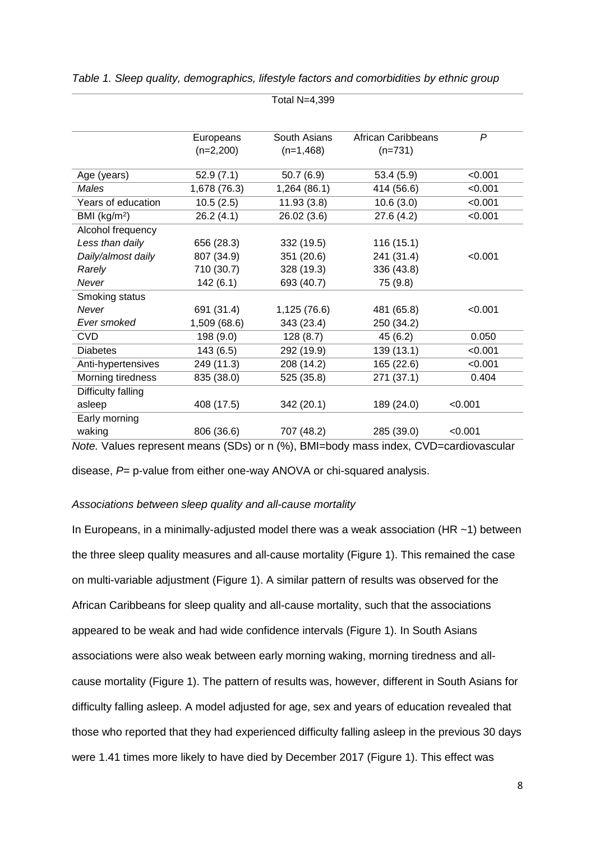|                    | Europeans    | South Asians | <b>African Caribbeans</b> | $\mathsf{P}$ |
|--------------------|--------------|--------------|---------------------------|--------------|
|                    | $(n=2,200)$  | $(n=1,468)$  | $(n=731)$                 |              |
| Age (years)        | 52.9(7.1)    | 50.7(6.9)    | 53.4(5.9)                 | < 0.001      |
| Males              | 1,678 (76.3) | 1,264 (86.1) | 414 (56.6)                | < 0.001      |
| Years of education | 10.5(2.5)    | 11.93(3.8)   | 10.6(3.0)                 | < 0.001      |
| BMI $(kg/m2)$      | 26.2(4.1)    | 26.02 (3.6)  | 27.6(4.2)                 | < 0.001      |
| Alcohol frequency  |              |              |                           |              |
| Less than daily    | 656 (28.3)   | 332 (19.5)   | 116(15.1)                 |              |
| Daily/almost daily | 807 (34.9)   | 351 (20.6)   | 241 (31.4)                | < 0.001      |
| Rarely             | 710 (30.7)   | 328 (19.3)   | 336 (43.8)                |              |
| Never              | 142(6.1)     | 693 (40.7)   | 75 (9.8)                  |              |
| Smoking status     |              |              |                           |              |
| Never              | 691 (31.4)   | 1,125 (76.6) | 481 (65.8)                | < 0.001      |
| Ever smoked        | 1,509 (68.6) | 343 (23.4)   | 250 (34.2)                |              |
| <b>CVD</b>         | 198 (9.0)    | 128(8.7)     | 45 (6.2)                  | 0.050        |
| <b>Diabetes</b>    | 143(6.5)     | 292 (19.9)   | 139 (13.1)                | < 0.001      |
| Anti-hypertensives | 249 (11.3)   | 208 (14.2)   | 165 (22.6)                | < 0.001      |
| Morning tiredness  | 835 (38.0)   | 525 (35.8)   | 271 (37.1)                | 0.404        |
| Difficulty falling |              |              |                           |              |
| asleep             | 408 (17.5)   | 342 (20.1)   | 189 (24.0)                | < 0.001      |
| Early morning      |              |              |                           |              |
| waking             | 806 (36.6)   | 707 (48.2)   | 285 (39.0)                | < 0.001      |

|  | Table 1. Sleep quality, demographics, lifestyle factors and comorbidities by ethnic group |  |  |  |
|--|-------------------------------------------------------------------------------------------|--|--|--|
|  |                                                                                           |  |  |  |

Total N=4,399

*Note.* Values represent means (SDs) or n (%), BMI=body mass index, CVD=cardiovascular

disease, *P*= p-value from either one-way ANOVA or chi-squared analysis.

## *Associations between sleep quality and all-cause mortality*

In Europeans, in a minimally-adjusted model there was a weak association (HR  $\sim$  1) between the three sleep quality measures and all-cause mortality (Figure 1). This remained the case on multi-variable adjustment (Figure 1). A similar pattern of results was observed for the African Caribbeans for sleep quality and all-cause mortality, such that the associations appeared to be weak and had wide confidence intervals (Figure 1). In South Asians associations were also weak between early morning waking, morning tiredness and allcause mortality (Figure 1). The pattern of results was, however, different in South Asians for difficulty falling asleep. A model adjusted for age, sex and years of education revealed that those who reported that they had experienced difficulty falling asleep in the previous 30 days were 1.41 times more likely to have died by December 2017 (Figure 1). This effect was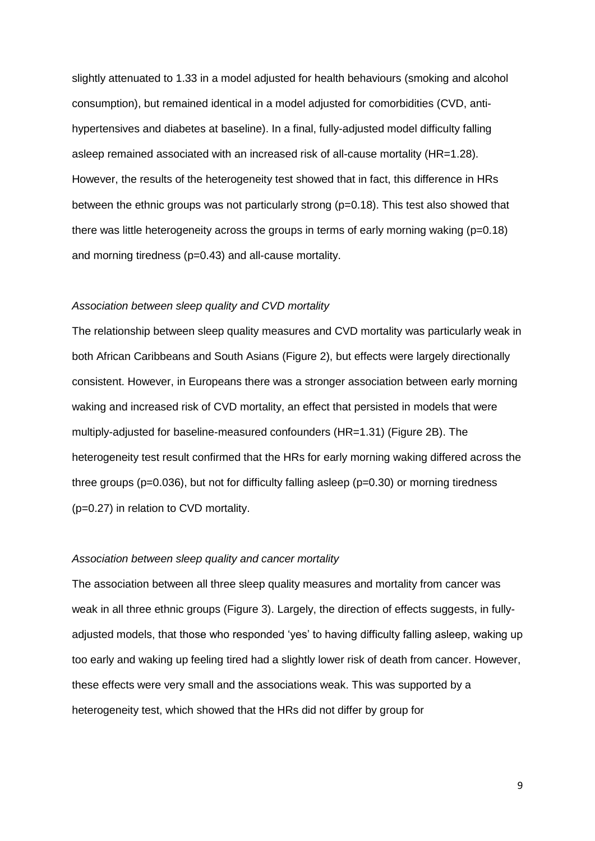slightly attenuated to 1.33 in a model adjusted for health behaviours (smoking and alcohol consumption), but remained identical in a model adjusted for comorbidities (CVD, antihypertensives and diabetes at baseline). In a final, fully-adjusted model difficulty falling asleep remained associated with an increased risk of all-cause mortality (HR=1.28). However, the results of the heterogeneity test showed that in fact, this difference in HRs between the ethnic groups was not particularly strong (p=0.18). This test also showed that there was little heterogeneity across the groups in terms of early morning waking (p=0.18) and morning tiredness (p=0.43) and all-cause mortality.

## *Association between sleep quality and CVD mortality*

The relationship between sleep quality measures and CVD mortality was particularly weak in both African Caribbeans and South Asians (Figure 2), but effects were largely directionally consistent. However, in Europeans there was a stronger association between early morning waking and increased risk of CVD mortality, an effect that persisted in models that were multiply-adjusted for baseline-measured confounders (HR=1.31) (Figure 2B). The heterogeneity test result confirmed that the HRs for early morning waking differed across the three groups (p=0.036), but not for difficulty falling asleep (p=0.30) or morning tiredness (p=0.27) in relation to CVD mortality.

#### *Association between sleep quality and cancer mortality*

The association between all three sleep quality measures and mortality from cancer was weak in all three ethnic groups (Figure 3). Largely, the direction of effects suggests, in fullyadjusted models, that those who responded 'yes' to having difficulty falling asleep, waking up too early and waking up feeling tired had a slightly lower risk of death from cancer. However, these effects were very small and the associations weak. This was supported by a heterogeneity test, which showed that the HRs did not differ by group for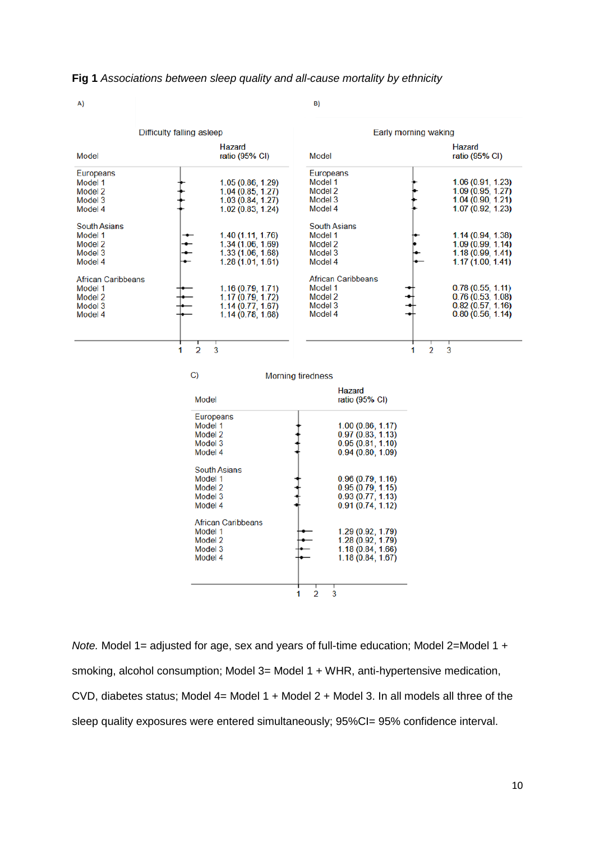#### **Fig 1** *Associations between sleep quality and all-cause mortality by ethnicity*

| . . |  |
|-----|--|
|     |  |

Difficulty falling asleep Early morning waking **Hazard Hazard** ratio  $(95% \text{ Cl})$ Model ratio (95% CI) Model Europeans Europeans 1.05 (0.86, 1.29)<br>1.04 (0.85, 1.27)<br>1.03 (0.84, 1.27)<br>1.02 (0.83, 1.24) 1.06 (0.91, 1.23) Model 1 Model 1  $\ddot{t}$  $1.09(0.95, 1.27)$ <br> $1.04(0.90, 1.21)$ ţ Model 2 Model 2 Model 3 Model 3  $1.07(0.92, 1.23)$ Model 4 Model 4 **South Asians South Asians** Model 1 1.40 (1.11, 1.76) Model 1 1.14 (0.94, 1.38) 1.34 (1.06, 1.69)<br>1.33 (1.06, 1.68)<br>1.28 (1.01, 1.61) Model 2 Model 2  $1.09(0.99, 1.14)$ Model 3 Model 3  $1.18(0.99, 1.41)$ Model 4  $1.17(1.00, 1.41)$ Model 4 African Caribbeans **African Caribbeans** 0.78 (0.55, 1.11)<br>0.76 (0.53, 1.08) Model 1 1.16 (0.79, 1.71) Model 1 1.17 (0.79, 1.72)<br>1.14 (0.77, 1.67)<br>1.14 (0.78, 1.68) Model 2 Model 2  $0.82(0.57, 1.16)$ <br>0.80 (0.56, 1.14) Model 3 Model 3 Model 4 Model 4  $\overline{a}$  $\mathcal{D}$  $\mathcal{P}$ 3 1 1 C) **Morning tiredness** Hazard ratio (95% CI) Model Europeans Model 1  $1.00(0.86, 1.17)$  $0.97(0.83, 1.13)$ <br> $0.95(0.81, 1.10)$ Model 2 Model 3 Model 4  $0.94(0.80, 1.09)$ **South Asians** Model 1  $0.96(0.79, 1.16)$  $0.95(0.79, 1.15)$ <br> $0.93(0.77, 1.13)$ Model 2 Model 3 Model 4  $0.91(0.74, 1.12)$ **African Caribbeans** Model 1 1.29 (0.92, 1.79) Model 2  $1.28(0.92, 1.79)$ <br> $1.18(0.84, 1.66)$ <br> $1.18(0.84, 1.67)$ Model 3 Model 4  $\overline{2}$  $\overline{3}$ 1

*Note.* Model 1= adjusted for age, sex and years of full-time education; Model 2=Model 1 + smoking, alcohol consumption; Model 3= Model 1 + WHR, anti-hypertensive medication, CVD, diabetes status; Model 4= Model 1 + Model 2 + Model 3. In all models all three of the sleep quality exposures were entered simultaneously; 95%CI= 95% confidence interval.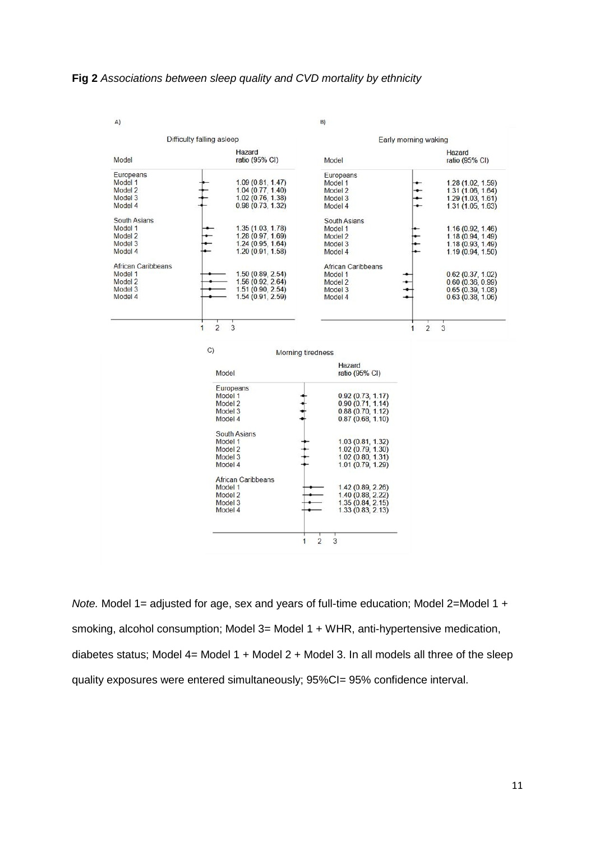### **Fig 2** *Associations between sleep quality and CVD mortality by ethnicity*



*Note.* Model 1= adjusted for age, sex and years of full-time education; Model 2=Model 1 + smoking, alcohol consumption; Model 3= Model 1 + WHR, anti-hypertensive medication, diabetes status; Model  $4$  = Model  $1$  + Model  $2$  + Model 3. In all models all three of the sleep quality exposures were entered simultaneously; 95%CI= 95% confidence interval.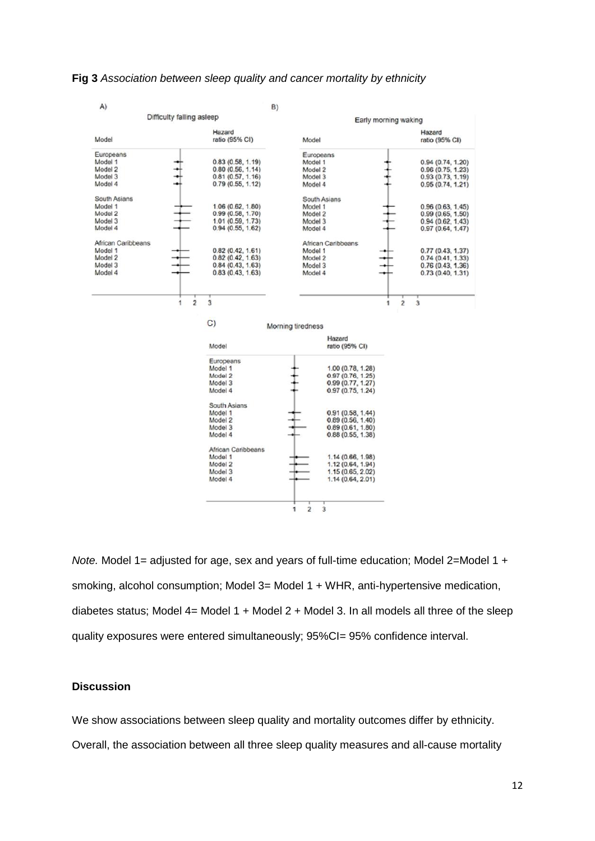#### **Fig 3** *Association between sleep quality and cancer mortality by ethnicity*



*Note.* Model 1= adjusted for age, sex and years of full-time education; Model 2=Model 1 + smoking, alcohol consumption; Model 3= Model 1 + WHR, anti-hypertensive medication, diabetes status; Model  $4=$  Model  $1 +$  Model  $2 +$  Model  $3$ . In all models all three of the sleep quality exposures were entered simultaneously; 95%CI= 95% confidence interval.

## **Discussion**

We show associations between sleep quality and mortality outcomes differ by ethnicity.

Overall, the association between all three sleep quality measures and all-cause mortality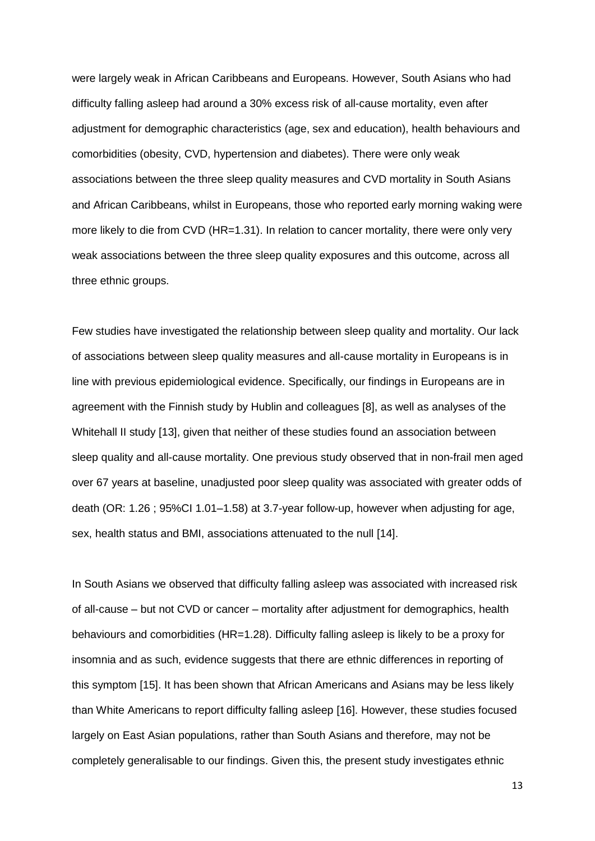were largely weak in African Caribbeans and Europeans. However, South Asians who had difficulty falling asleep had around a 30% excess risk of all-cause mortality, even after adjustment for demographic characteristics (age, sex and education), health behaviours and comorbidities (obesity, CVD, hypertension and diabetes). There were only weak associations between the three sleep quality measures and CVD mortality in South Asians and African Caribbeans, whilst in Europeans, those who reported early morning waking were more likely to die from CVD (HR=1.31). In relation to cancer mortality, there were only very weak associations between the three sleep quality exposures and this outcome, across all three ethnic groups.

Few studies have investigated the relationship between sleep quality and mortality. Our lack of associations between sleep quality measures and all-cause mortality in Europeans is in line with previous epidemiological evidence. Specifically, our findings in Europeans are in agreement with the Finnish study by Hublin and colleagues [8], as well as analyses of the Whitehall II study [13], given that neither of these studies found an association between sleep quality and all-cause mortality. One previous study observed that in non-frail men aged over 67 years at baseline, unadjusted poor sleep quality was associated with greater odds of death (OR: 1.26 ; 95%CI 1.01–1.58) at 3.7-year follow-up, however when adjusting for age, sex, health status and BMI, associations attenuated to the null [14].

In South Asians we observed that difficulty falling asleep was associated with increased risk of all-cause – but not CVD or cancer – mortality after adjustment for demographics, health behaviours and comorbidities (HR=1.28). Difficulty falling asleep is likely to be a proxy for insomnia and as such, evidence suggests that there are ethnic differences in reporting of this symptom [15]. It has been shown that African Americans and Asians may be less likely than White Americans to report difficulty falling asleep [16]. However, these studies focused largely on East Asian populations, rather than South Asians and therefore, may not be completely generalisable to our findings. Given this, the present study investigates ethnic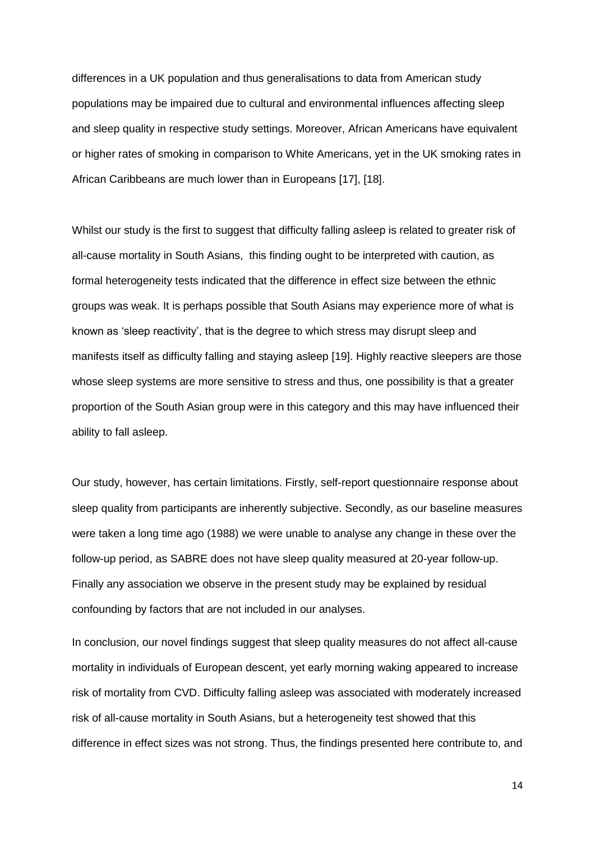differences in a UK population and thus generalisations to data from American study populations may be impaired due to cultural and environmental influences affecting sleep and sleep quality in respective study settings. Moreover, African Americans have equivalent or higher rates of smoking in comparison to White Americans, yet in the UK smoking rates in African Caribbeans are much lower than in Europeans [17], [18].

Whilst our study is the first to suggest that difficulty falling asleep is related to greater risk of all-cause mortality in South Asians, this finding ought to be interpreted with caution, as formal heterogeneity tests indicated that the difference in effect size between the ethnic groups was weak. It is perhaps possible that South Asians may experience more of what is known as 'sleep reactivity', that is the degree to which stress may disrupt sleep and manifests itself as difficulty falling and staying asleep [19]. Highly reactive sleepers are those whose sleep systems are more sensitive to stress and thus, one possibility is that a greater proportion of the South Asian group were in this category and this may have influenced their ability to fall asleep.

Our study, however, has certain limitations. Firstly, self-report questionnaire response about sleep quality from participants are inherently subjective. Secondly, as our baseline measures were taken a long time ago (1988) we were unable to analyse any change in these over the follow-up period, as SABRE does not have sleep quality measured at 20-year follow-up. Finally any association we observe in the present study may be explained by residual confounding by factors that are not included in our analyses.

In conclusion, our novel findings suggest that sleep quality measures do not affect all-cause mortality in individuals of European descent, yet early morning waking appeared to increase risk of mortality from CVD. Difficulty falling asleep was associated with moderately increased risk of all-cause mortality in South Asians, but a heterogeneity test showed that this difference in effect sizes was not strong. Thus, the findings presented here contribute to, and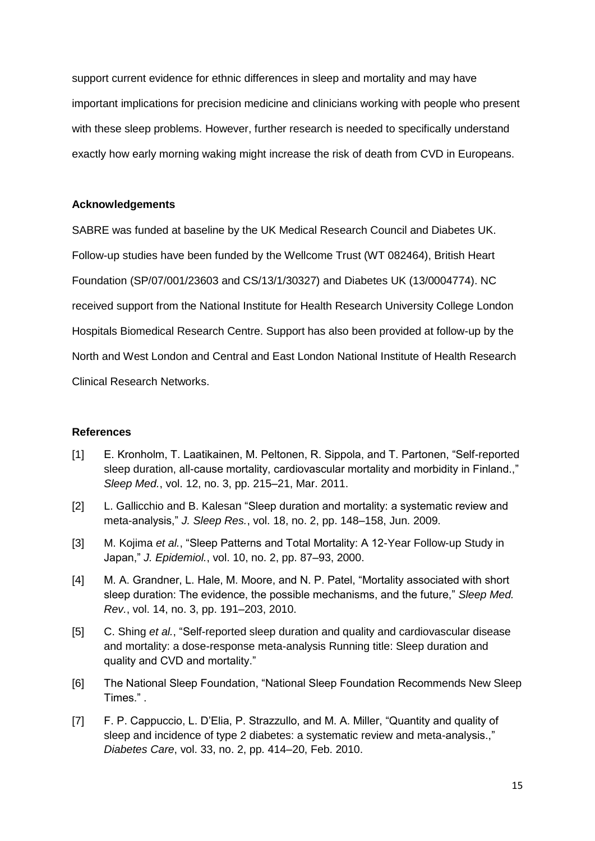support current evidence for ethnic differences in sleep and mortality and may have important implications for precision medicine and clinicians working with people who present with these sleep problems. However, further research is needed to specifically understand exactly how early morning waking might increase the risk of death from CVD in Europeans.

## **Acknowledgements**

SABRE was funded at baseline by the UK Medical Research Council and Diabetes UK. Follow-up studies have been funded by the Wellcome Trust (WT 082464), British Heart Foundation (SP/07/001/23603 and CS/13/1/30327) and Diabetes UK (13/0004774). NC received support from the National Institute for Health Research University College London Hospitals Biomedical Research Centre. Support has also been provided at follow-up by the North and West London and Central and East London National Institute of Health Research Clinical Research Networks.

## **References**

- [1] E. Kronholm, T. Laatikainen, M. Peltonen, R. Sippola, and T. Partonen, "Self-reported sleep duration, all-cause mortality, cardiovascular mortality and morbidity in Finland.," *Sleep Med.*, vol. 12, no. 3, pp. 215–21, Mar. 2011.
- [2] L. Gallicchio and B. Kalesan "Sleep duration and mortality: a systematic review and meta-analysis," *J. Sleep Res.*, vol. 18, no. 2, pp. 148–158, Jun. 2009.
- [3] M. Kojima *et al.*, "Sleep Patterns and Total Mortality: A 12-Year Follow-up Study in Japan," *J. Epidemiol.*, vol. 10, no. 2, pp. 87–93, 2000.
- [4] M. A. Grandner, L. Hale, M. Moore, and N. P. Patel, "Mortality associated with short sleep duration: The evidence, the possible mechanisms, and the future," *Sleep Med. Rev.*, vol. 14, no. 3, pp. 191–203, 2010.
- [5] C. Shing *et al.*, "Self-reported sleep duration and quality and cardiovascular disease and mortality: a dose-response meta-analysis Running title: Sleep duration and quality and CVD and mortality."
- [6] The National Sleep Foundation, "National Sleep Foundation Recommends New Sleep Times." .
- [7] F. P. Cappuccio, L. D'Elia, P. Strazzullo, and M. A. Miller, "Quantity and quality of sleep and incidence of type 2 diabetes: a systematic review and meta-analysis.," *Diabetes Care*, vol. 33, no. 2, pp. 414–20, Feb. 2010.